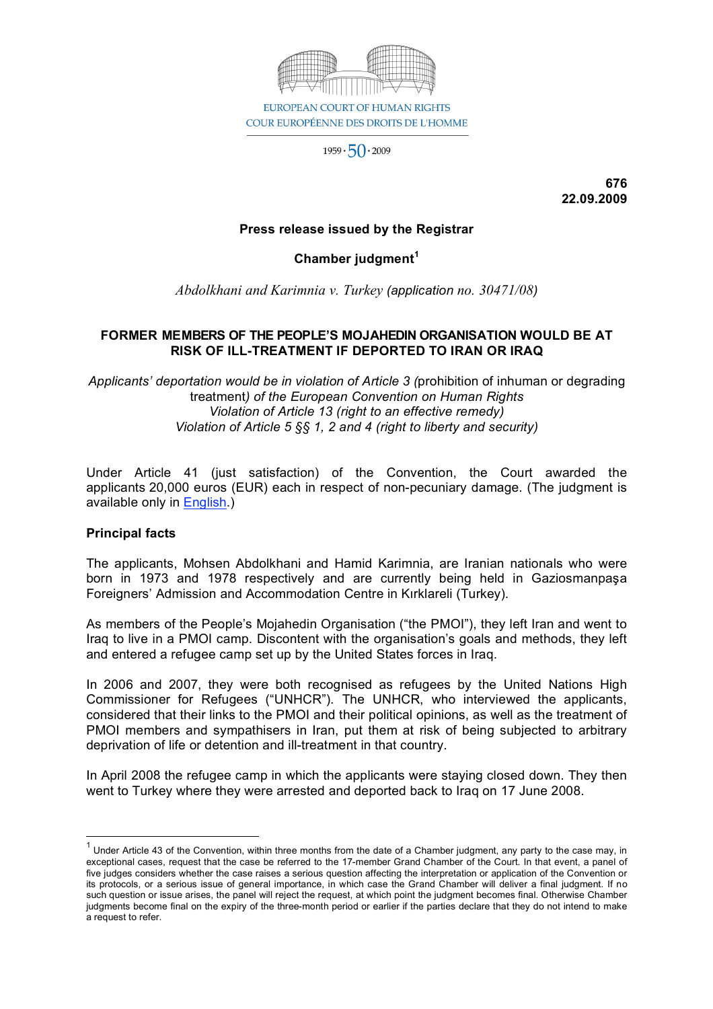

 $1959 \cdot 50 \cdot 2009$ 

**676 22.09.2009**

### **Press release issued by the Registrar**

## **Chamber judgment<sup>1</sup>**

*Abdolkhani and Karimnia v. Turkey (application no. 30471/08)*

### **FORMER MEMBERS OF THE PEOPLE'S MOJAHEDIN ORGANISATION WOULD BE AT RISK OF ILL-TREATMENT IF DEPORTED TO IRAN OR IRAQ**

*Applicants' deportation would be in violation of Article 3 (*prohibition of inhuman or degrading treatment*) of the European Convention on Human Rights Violation of Article 13 (right to an effective remedy) Violation of Article 5 §§ 1, 2 and 4 (right to liberty and security)*

Under Article 41 (just satisfaction) of the Convention, the Court awarded the applicants 20,000 euros (EUR) each in respect of non-pecuniary damage. (The judgment is available only in English.)

#### **Principal facts**

The applicants, Mohsen Abdolkhani and Hamid Karimnia, are Iranian nationals who were born in 1973 and 1978 respectively and are currently being held in Gaziosmanpaşa Foreigners' Admission and Accommodation Centre in Kırklareli (Turkey).

As members of the People's Mojahedin Organisation ("the PMOI"), they left Iran and went to Iraq to live in a PMOI camp. Discontent with the organisation's goals and methods, they left and entered a refugee camp set up by the United States forces in Iraq.

In 2006 and 2007, they were both recognised as refugees by the United Nations High Commissioner for Refugees ("UNHCR"). The UNHCR, who interviewed the applicants, considered that their links to the PMOI and their political opinions, as well as the treatment of PMOI members and sympathisers in Iran, put them at risk of being subjected to arbitrary deprivation of life or detention and ill-treatment in that country.

In April 2008 the refugee camp in which the applicants were staying closed down. They then went to Turkey where they were arrested and deported back to Iraq on 17 June 2008.

 $1$  Under Article 43 of the Convention, within three months from the date of a Chamber judgment, any party to the case may, in exceptional cases, request that the case be referred to the 17-member Grand Chamber of the Court. In that event, a panel of five judges considers whether the case raises a serious question affecting the interpretation or application of the Convention or its protocols, or a serious issue of general importance, in which case the Grand Chamber will deliver a final judgment. If no such question or issue arises, the panel will reject the request, at which point the judgment becomes final. Otherwise Chamber judgments become final on the expiry of the three-month period or earlier if the parties declare that they do not intend to make a request to refer.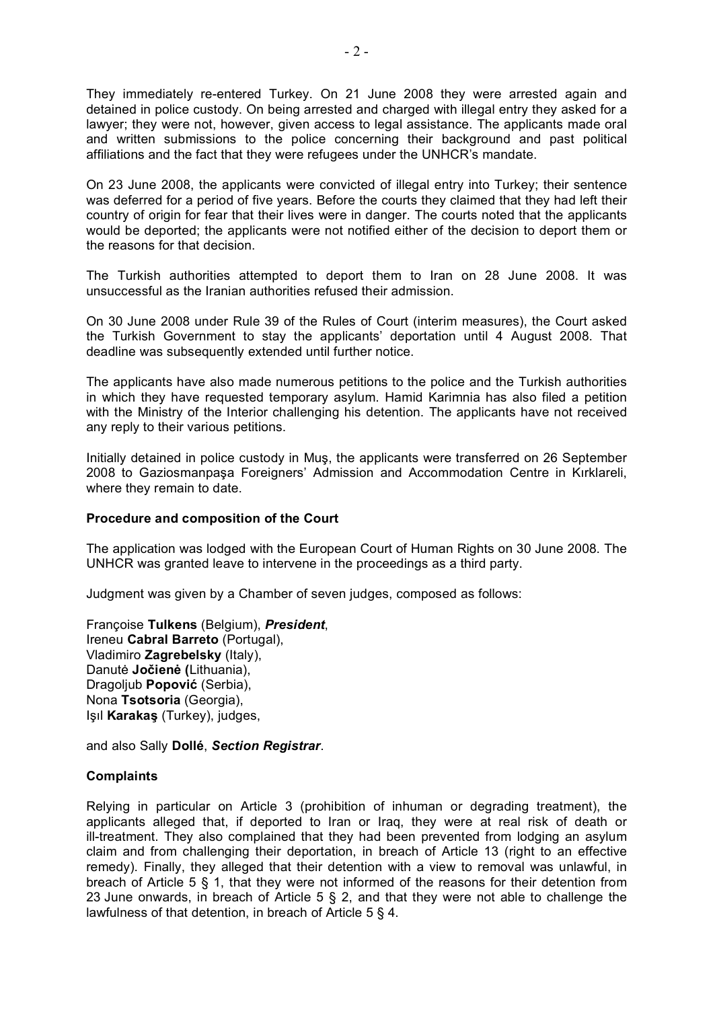They immediately re-entered Turkey. On 21 June 2008 they were arrested again and detained in police custody. On being arrested and charged with illegal entry they asked for a lawyer; they were not, however, given access to legal assistance. The applicants made oral and written submissions to the police concerning their background and past political affiliations and the fact that they were refugees under the UNHCR's mandate.

On 23 June 2008, the applicants were convicted of illegal entry into Turkey; their sentence was deferred for a period of five years. Before the courts they claimed that they had left their country of origin for fear that their lives were in danger. The courts noted that the applicants would be deported; the applicants were not notified either of the decision to deport them or the reasons for that decision.

The Turkish authorities attempted to deport them to Iran on 28 June 2008. It was unsuccessful as the Iranian authorities refused their admission.

On 30 June 2008 under Rule 39 of the Rules of Court (interim measures), the Court asked the Turkish Government to stay the applicants' deportation until 4 August 2008. That deadline was subsequently extended until further notice.

The applicants have also made numerous petitions to the police and the Turkish authorities in which they have requested temporary asylum. Hamid Karimnia has also filed a petition with the Ministry of the Interior challenging his detention. The applicants have not received any reply to their various petitions.

Initially detained in police custody in Muş, the applicants were transferred on 26 September 2008 to Gaziosmanpaşa Foreigners' Admission and Accommodation Centre in Kırklareli, where they remain to date.

#### **Procedure and composition of the Court**

The application was lodged with the European Court of Human Rights on 30 June 2008. The UNHCR was granted leave to intervene in the proceedings as a third party.

Judgment was given by a Chamber of seven judges, composed as follows:

Françoise **Tulkens** (Belgium), *President*, Ireneu **Cabral Barreto** (Portugal), Vladimiro **Zagrebelsky** (Italy), Danutė **Jočienė (**Lithuania), Dragoljub **Popović** (Serbia), Nona **Tsotsoria** (Georgia), Işıl **Karakaş** (Turkey), judges,

and also Sally **Dollé**, *Section Registrar*.

#### **Complaints**

Relying in particular on Article 3 (prohibition of inhuman or degrading treatment), the applicants alleged that, if deported to Iran or Iraq, they were at real risk of death or ill-treatment. They also complained that they had been prevented from lodging an asylum claim and from challenging their deportation, in breach of Article 13 (right to an effective remedy). Finally, they alleged that their detention with a view to removal was unlawful, in breach of Article 5 § 1, that they were not informed of the reasons for their detention from 23 June onwards, in breach of Article 5 § 2, and that they were not able to challenge the lawfulness of that detention, in breach of Article 5 § 4.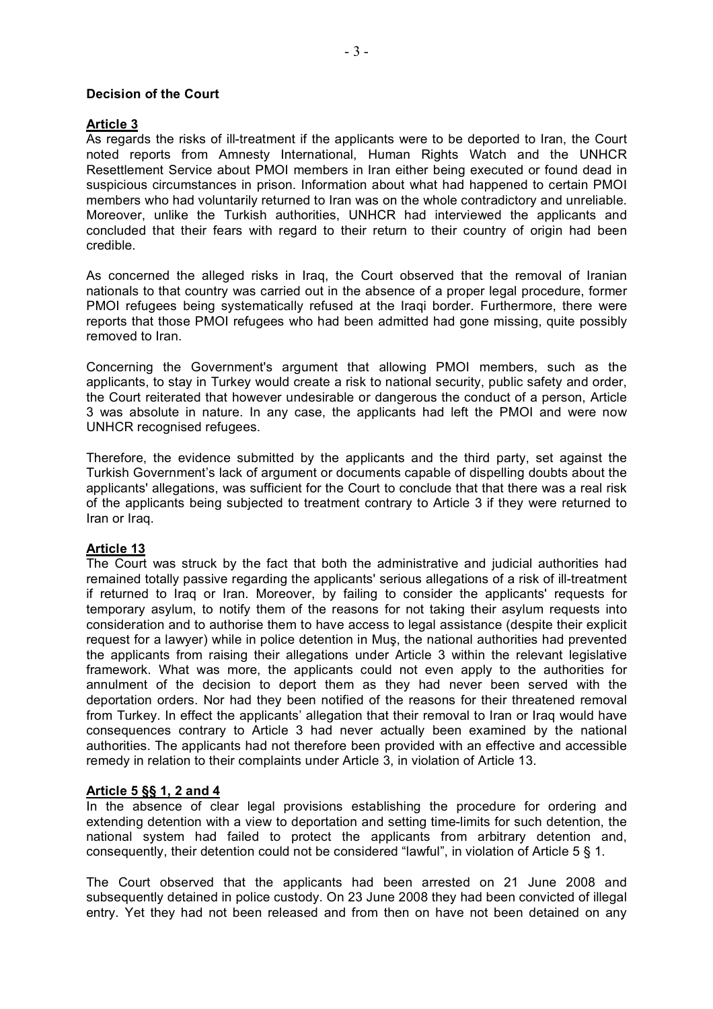### **Decision of the Court**

## **Article 3**

As regards the risks of ill-treatment if the applicants were to be deported to Iran, the Court noted reports from Amnesty International, Human Rights Watch and the UNHCR Resettlement Service about PMOI members in Iran either being executed or found dead in suspicious circumstances in prison. Information about what had happened to certain PMOI members who had voluntarily returned to Iran was on the whole contradictory and unreliable. Moreover, unlike the Turkish authorities, UNHCR had interviewed the applicants and concluded that their fears with regard to their return to their country of origin had been credible.

As concerned the alleged risks in Iraq, the Court observed that the removal of Iranian nationals to that country was carried out in the absence of a proper legal procedure, former PMOI refugees being systematically refused at the Iraqi border. Furthermore, there were reports that those PMOI refugees who had been admitted had gone missing, quite possibly removed to Iran.

Concerning the Government's argument that allowing PMOI members, such as the applicants, to stay in Turkey would create a risk to national security, public safety and order, the Court reiterated that however undesirable or dangerous the conduct of a person, Article 3 was absolute in nature. In any case, the applicants had left the PMOI and were now UNHCR recognised refugees.

Therefore, the evidence submitted by the applicants and the third party, set against the Turkish Government's lack of argument or documents capable of dispelling doubts about the applicants' allegations, was sufficient for the Court to conclude that that there was a real risk of the applicants being subjected to treatment contrary to Article 3 if they were returned to Iran or Iraq.

## **Article 13**

The Court was struck by the fact that both the administrative and judicial authorities had remained totally passive regarding the applicants' serious allegations of a risk of ill-treatment if returned to Iraq or Iran. Moreover, by failing to consider the applicants' requests for temporary asylum, to notify them of the reasons for not taking their asylum requests into consideration and to authorise them to have access to legal assistance (despite their explicit request for a lawyer) while in police detention in Muş, the national authorities had prevented the applicants from raising their allegations under Article 3 within the relevant legislative framework. What was more, the applicants could not even apply to the authorities for annulment of the decision to deport them as they had never been served with the deportation orders. Nor had they been notified of the reasons for their threatened removal from Turkey. In effect the applicants' allegation that their removal to Iran or Iraq would have consequences contrary to Article 3 had never actually been examined by the national authorities. The applicants had not therefore been provided with an effective and accessible remedy in relation to their complaints under Article 3, in violation of Article 13.

# **Article 5 §§ 1, 2 and 4**

In the absence of clear legal provisions establishing the procedure for ordering and extending detention with a view to deportation and setting time-limits for such detention, the national system had failed to protect the applicants from arbitrary detention and, consequently, their detention could not be considered "lawful", in violation of Article 5 § 1.

The Court observed that the applicants had been arrested on 21 June 2008 and subsequently detained in police custody. On 23 June 2008 they had been convicted of illegal entry. Yet they had not been released and from then on have not been detained on any